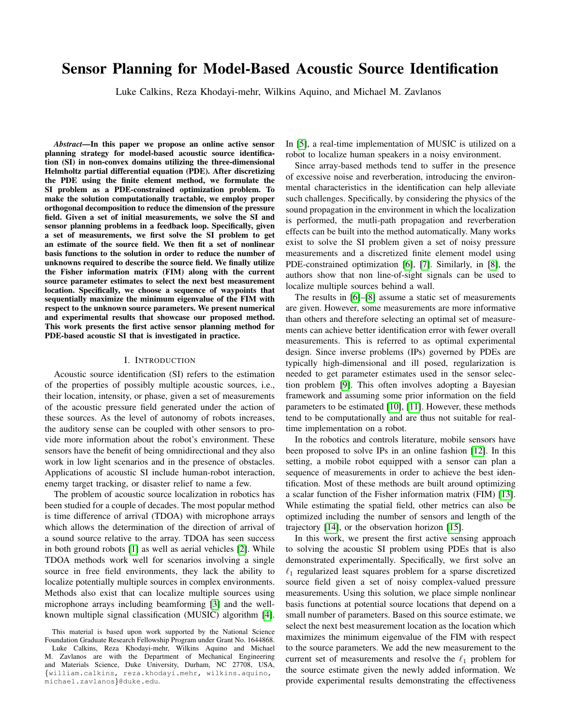# Sensor Planning for Model-Based Acoustic Source Identification

Luke Calkins, Reza Khodayi-mehr, Wilkins Aquino, and Michael M. Zavlanos

*Abstract*—In this paper we propose an online active sensor planning strategy for model-based acoustic source identification (SI) in non-convex domains utilizing the three-dimensional Helmholtz partial differential equation (PDE). After discretizing the PDE using the finite element method, we formulate the SI problem as a PDE-constrained optimization problem. To make the solution computationally tractable, we employ proper orthogonal decomposition to reduce the dimension of the pressure field. Given a set of initial measurements, we solve the SI and sensor planning problems in a feedback loop. Specifically, given a set of measurements, we first solve the SI problem to get an estimate of the source field. We then fit a set of nonlinear basis functions to the solution in order to reduce the number of unknowns required to describe the source field. We finally utilize the Fisher information matrix (FIM) along with the current source parameter estimates to select the next best measurement location. Specifically, we choose a sequence of waypoints that sequentially maximize the minimum eigenvalue of the FIM with respect to the unknown source parameters. We present numerical and experimental results that showcase our proposed method. This work presents the first active sensor planning method for PDE-based acoustic SI that is investigated in practice.

#### I. INTRODUCTION

Acoustic source identification (SI) refers to the estimation of the properties of possibly multiple acoustic sources, i.e., their location, intensity, or phase, given a set of measurements of the acoustic pressure field generated under the action of these sources. As the level of autonomy of robots increases, the auditory sense can be coupled with other sensors to provide more information about the robot's environment. These sensors have the benefit of being omnidirectional and they also work in low light scenarios and in the presence of obstacles. Applications of acoustic SI include human-robot interaction, enemy target tracking, or disaster relief to name a few.

The problem of acoustic source localization in robotics has been studied for a couple of decades. The most popular method is time difference of arrival (TDOA) with microphone arrays which allows the determination of the direction of arrival of a sound source relative to the array. TDOA has seen success in both ground robots [\[1\]](#page-5-0) as well as aerial vehicles [\[2\]](#page-5-1). While TDOA methods work well for scenarios involving a single source in free field environments, they lack the ability to localize potentially multiple sources in complex environments. Methods also exist that can localize multiple sources using microphone arrays including beamforming [\[3\]](#page-5-2) and the wellknown multiple signal classification (MUSIC) algorithm [\[4\]](#page-5-3).

In [\[5\]](#page-5-4), a real-time implementation of MUSIC is utilized on a robot to localize human speakers in a noisy environment.

Since array-based methods tend to suffer in the presence of excessive noise and reverberation, introducing the environmental characteristics in the identification can help alleviate such challenges. Specifically, by considering the physics of the sound propagation in the environment in which the localization is performed, the mutli-path propagation and reverberation effects can be built into the method automatically. Many works exist to solve the SI problem given a set of noisy pressure measurements and a discretized finite element model using PDE-constrained optimization [\[6\]](#page-5-5), [\[7\]](#page-5-6). Similarly, in [\[8\]](#page-5-7), the authors show that non line-of-sight signals can be used to localize multiple sources behind a wall.

The results in [\[6\]](#page-5-5)–[\[8\]](#page-5-7) assume a static set of measurements are given. However, some measurements are more informative than others and therefore selecting an optimal set of measurements can achieve better identification error with fewer overall measurements. This is referred to as optimal experimental design. Since inverse problems (IPs) governed by PDEs are typically high-dimensional and ill posed, regularization is needed to get parameter estimates used in the sensor selection problem [\[9\]](#page-5-8). This often involves adopting a Bayesian framework and assuming some prior information on the field parameters to be estimated [\[10\]](#page-5-9), [\[11\]](#page-5-10). However, these methods tend to be computationally and are thus not suitable for realtime implementation on a robot.

In the robotics and controls literature, mobile sensors have been proposed to solve IPs in an online fashion [\[12\]](#page-5-11). In this setting, a mobile robot equipped with a sensor can plan a sequence of measurements in order to achieve the best identification. Most of these methods are built around optimizing a scalar function of the Fisher information matrix (FIM) [\[13\]](#page-5-12). While estimating the spatial field, other metrics can also be optimized including the number of sensors and length of the trajectory [\[14\]](#page-5-13), or the observation horizon [\[15\]](#page-5-14).

In this work, we present the first active sensing approach to solving the acoustic SI problem using PDEs that is also demonstrated experimentally. Specifically, we first solve an  $\ell_1$  regularized least squares problem for a sparse discretized source field given a set of noisy complex-valued pressure measurements. Using this solution, we place simple nonlinear basis functions at potential source locations that depend on a small number of parameters. Based on this source estimate, we select the next best measurement location as the location which maximizes the minimum eigenvalue of the FIM with respect to the source parameters. We add the new measurement to the current set of measurements and resolve the  $\ell_1$  problem for the source estimate given the newly added information. We provide experimental results demonstrating the effectiveness

This material is based upon work supported by the National Science Foundation Graduate Research Fellowship Program under Grant No. 1644868. Luke Calkins, Reza Khodayi-mehr, Wilkins Aquino and Michael M. Zavlanos are with the Department of Mechanical Engineering and Materials Science, Duke University, Durham, NC 27708, USA, {william.calkins, reza.khodayi.mehr, wilkins.aquino, michael.zavlanos}@duke.edu.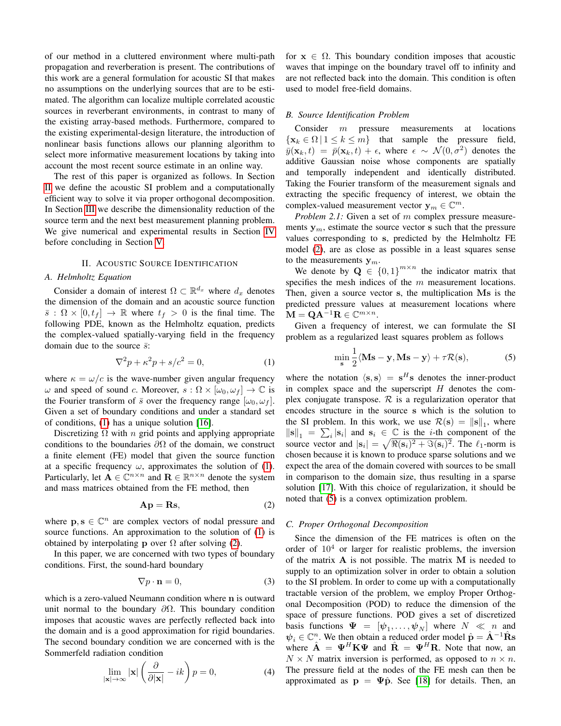of our method in a cluttered environment where multi-path propagation and reverberation is present. The contributions of this work are a general formulation for acoustic SI that makes no assumptions on the underlying sources that are to be estimated. The algorithm can localize multiple correlated acoustic sources in reverberant environments, in contrast to many of the existing array-based methods. Furthermore, compared to the existing experimental-design literature, the introduction of nonlinear basis functions allows our planning algorithm to select more informative measurement locations by taking into account the most recent source estimate in an online way.

The rest of this paper is organized as follows. In Section [II](#page-1-0) we define the acoustic SI problem and a computationally efficient way to solve it via proper orthogonal decomposition. In Section [III](#page-2-0) we describe the dimensionality reduction of the source term and the next best measurement planning problem. We give numerical and experimental results in Section [IV](#page-3-0) before concluding in Section [V.](#page-5-15)

## II. ACOUSTIC SOURCE IDENTIFICATION

# <span id="page-1-0"></span>*A. Helmholtz Equation*

Consider a domain of interest  $\Omega \subset \mathbb{R}^{d_x}$  where  $d_x$  denotes the dimension of the domain and an acoustic source function  $\bar{s}$ :  $\Omega \times [0, t_f] \rightarrow \mathbb{R}$  where  $t_f > 0$  is the final time. The following PDE, known as the Helmholtz equation, predicts the complex-valued spatially-varying field in the frequency domain due to the source  $\bar{s}$ :

<span id="page-1-1"></span>
$$
\nabla^2 p + \kappa^2 p + s/c^2 = 0,\tag{1}
$$

where  $\kappa = \omega/c$  is the wave-number given angular frequency  $ω$  and speed of sound c. Moreover,  $s : \Omega \times [\omega_0, \omega_f] \to \mathbb{C}$  is the Fourier transform of  $\bar{s}$  over the frequency range  $[\omega_0, \omega_f]$ . Given a set of boundary conditions and under a standard set of conditions, [\(1\)](#page-1-1) has a unique solution [\[16\]](#page-5-16).

Discretizing  $\Omega$  with n grid points and applying appropriate conditions to the boundaries  $\partial\Omega$  of the domain, we construct a finite element (FE) model that given the source function at a specific frequency  $\omega$ , approximates the solution of [\(1\)](#page-1-1). Particularly, let  $\mathbf{A} \in \mathbb{C}^{n \times n}$  and  $\mathbf{R} \in \mathbb{R}^{n \times n}$  denote the system and mass matrices obtained from the FE method, then

<span id="page-1-2"></span>
$$
Ap = Rs,
$$
 (2)

where  $\mathbf{p}, \mathbf{s} \in \mathbb{C}^n$  are complex vectors of nodal pressure and source functions. An approximation to the solution of [\(1\)](#page-1-1) is obtained by interpolating **p** over  $\Omega$  after solving [\(2\)](#page-1-2).

In this paper, we are concerned with two types of boundary conditions. First, the sound-hard boundary

$$
\nabla p \cdot \mathbf{n} = 0,\tag{3}
$$

which is a zero-valued Neumann condition where **n** is outward unit normal to the boundary  $\partial\Omega$ . This boundary condition imposes that acoustic waves are perfectly reflected back into the domain and is a good approximation for rigid boundaries. The second boundary condition we are concerned with is the Sommerfeld radiation condition

$$
\lim_{|\mathbf{x}| \to \infty} |\mathbf{x}| \left( \frac{\partial}{\partial |\mathbf{x}|} - ik \right) p = 0,\tag{4}
$$

for  $x \in \Omega$ . This boundary condition imposes that acoustic waves that impinge on the boundary travel off to infinity and are not reflected back into the domain. This condition is often used to model free-field domains.

#### *B. Source Identification Problem*

Consider m pressure measurements at locations  ${x_k \in \Omega \mid 1 \leq k \leq m}$  that sample the pressure field,  $\bar{y}(\mathbf{x}_k,t) = \bar{p}(\mathbf{x}_k,t) + \epsilon$ , where  $\epsilon \sim \mathcal{N}(0,\sigma^2)$  denotes the additive Gaussian noise whose components are spatially and temporally independent and identically distributed. Taking the Fourier transform of the measurement signals and extracting the specific frequency of interest, we obtain the complex-valued measurement vector  $y_m \in \mathbb{C}^m$ .

*Problem 2.1:* Given a set of m complex pressure measurements  $y_m$ , estimate the source vector s such that the pressure values corresponding to s, predicted by the Helmholtz FE model [\(2\)](#page-1-2), are as close as possible in a least squares sense to the measurements  $y_m$ .

We denote by  $\mathbf{Q} \in \{0,1\}^{m \times n}$  the indicator matrix that specifies the mesh indices of the  $m$  measurement locations. Then, given a source vector s, the multiplication Ms is the predicted pressure values at measurement locations where  $\mathbf{M} = \mathbf{Q} \mathbf{A}^{-1} \mathbf{R} \in \mathbb{C}^{m \times n}$ .

Given a frequency of interest, we can formulate the SI problem as a regularized least squares problem as follows

<span id="page-1-3"></span>
$$
\min_{\mathbf{s}} \frac{1}{2} \langle \mathbf{Ms} - \mathbf{y}, \mathbf{Ms} - \mathbf{y} \rangle + \tau \mathcal{R}(\mathbf{s}),\tag{5}
$$

where the notation  $\langle s, s \rangle = s^H s$  denotes the inner-product in complex space and the superscript  $H$  denotes the complex conjugate transpose.  $R$  is a regularization operator that encodes structure in the source s which is the solution to the SI problem. In this work, we use  $\mathcal{R}(s) = ||s||_1$ , where  $\|\mathbf{s}\|_1 = \sum_i |\mathbf{s}_i|$  and  $\mathbf{s}_i \in \mathbb{C}$  is the *i*-th component of the source vector and  $|\mathbf{s}_i| = \sqrt{\Re(\mathbf{s}_i)^2 + \Im(\mathbf{s}_i)^2}$ . The  $\ell_1$ -norm is chosen because it is known to produce sparse solutions and we expect the area of the domain covered with sources to be small in comparison to the domain size, thus resulting in a sparse solution [\[17\]](#page-5-17). With this choice of regularization, it should be noted that [\(5\)](#page-1-3) is a convex optimization problem.

## *C. Proper Orthogonal Decomposition*

<span id="page-1-5"></span><span id="page-1-4"></span>Since the dimension of the FE matrices is often on the order of  $10<sup>4</sup>$  or larger for realistic problems, the inversion of the matrix A is not possible. The matrix M is needed to supply to an optimization solver in order to obtain a solution to the SI problem. In order to come up with a computationally tractable version of the problem, we employ Proper Orthogonal Decomposition (POD) to reduce the dimension of the space of pressure functions. POD gives a set of discretized basis functions  $\Psi = [\psi_1, \dots, \psi_N]$  where  $N \ll n$  and  $\psi_i \in \mathbb{C}^n$ . We then obtain a reduced order model  $\hat{\mathbf{p}} = \hat{\mathbf{A}}^{-1} \hat{\mathbf{R}} \mathbf{s}$ where  $\hat{\mathbf{A}} = \mathbf{\Psi}^H \mathbf{K} \mathbf{\Psi}$  and  $\hat{\mathbf{R}} = \mathbf{\Psi}^H \mathbf{R}$ . Note that now, an  $N \times N$  matrix inversion is performed, as opposed to  $n \times n$ . The pressure field at the nodes of the FE mesh can then be approximated as  $\mathbf{p} = \Psi \hat{\mathbf{p}}$ . See [\[18\]](#page-5-18) for details. Then, an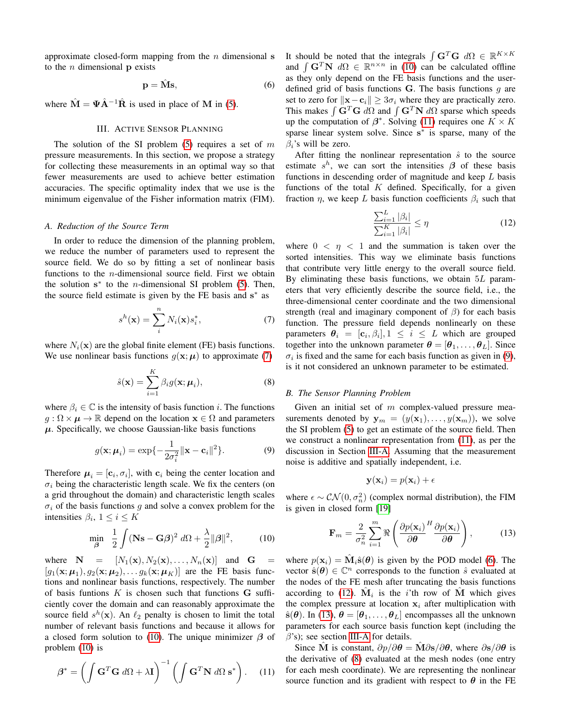approximate closed-form mapping from the  $n$  dimensional  $s$ to the  $n$  dimensional  $p$  exists

$$
\mathbf{p} = \hat{\mathbf{M}} \mathbf{s},\tag{6}
$$

where  $\hat{\mathbf{M}} = \mathbf{\Psi} \hat{\mathbf{A}}^{-1} \hat{\mathbf{R}}$  is used in place of **M** in [\(5\)](#page-1-3).

# III. ACTIVE SENSOR PLANNING

<span id="page-2-0"></span>The solution of the SI problem  $(5)$  requires a set of m pressure measurements. In this section, we propose a strategy for collecting these measurements in an optimal way so that fewer measurements are used to achieve better estimation accuracies. The specific optimality index that we use is the minimum eigenvalue of the Fisher information matrix (FIM).

#### <span id="page-2-5"></span>*A. Reduction of the Source Term*

In order to reduce the dimension of the planning problem, we reduce the number of parameters used to represent the source field. We do so by fitting a set of nonlinear basis functions to the  $n$ -dimensional source field. First we obtain the solution  $s^*$  to the *n*-dimensional SI problem [\(5\)](#page-1-3). Then, the source field estimate is given by the FE basis and  $s^*$  as

$$
s^h(\mathbf{x}) = \sum_{i}^{n} N_i(\mathbf{x}) s_i^*,
$$
 (7)

where  $N_i(\mathbf{x})$  are the global finite element (FE) basis functions. We use nonlinear basis functions  $g(x; \mu)$  to approximate [\(7\)](#page-2-1)

$$
\hat{s}(\mathbf{x}) = \sum_{i=1}^{K} \beta_i g(\mathbf{x}; \boldsymbol{\mu}_i),
$$
\n(8)

where  $\beta_i \in \mathbb{C}$  is the intensity of basis function *i*. The functions  $g: \Omega \times \mu \rightarrow \mathbb{R}$  depend on the location  $\mathbf{x} \in \Omega$  and parameters  $\mu$ . Specifically, we choose Gaussian-like basis functions

$$
g(\mathbf{x}; \boldsymbol{\mu}_i) = \exp\{-\frac{1}{2\sigma_i^2} ||\mathbf{x} - \mathbf{c}_i||^2\}.
$$
 (9)

Therefore  $\mu_i = [\mathbf{c}_i, \sigma_i]$ , with  $\mathbf{c}_i$  being the center location and  $\sigma_i$  being the characteristic length scale. We fix the centers (on a grid throughout the domain) and characteristic length scales  $\sigma_i$  of the basis functions g and solve a convex problem for the intensities  $\beta_i$ ,  $1 \leq i \leq K$ 

$$
\min_{\beta} \quad \frac{1}{2} \int (\mathbf{Ns} - \mathbf{G}\beta)^2 \, d\Omega + \frac{\lambda}{2} ||\beta||^2, \tag{10}
$$

where  $N = [N_1(\mathbf{x}), N_2(\mathbf{x}), \dots, N_n(\mathbf{x})]$  and  $G =$  $[g_1(\mathbf{x}; \boldsymbol{\mu}_1), g_2(\mathbf{x}; \boldsymbol{\mu}_2), \dots g_k(\mathbf{x}; \boldsymbol{\mu}_K)]$  are the FE basis functions and nonlinear basis functions, respectively. The number of basis funtions  $K$  is chosen such that functions  $G$  sufficiently cover the domain and can reasonably approximate the source field  $s^h(\mathbf{x})$ . An  $\ell_2$  penalty is chosen to limit the total number of relevant basis functions and because it allows for a closed form solution to [\(10\)](#page-2-2). The unique minimizer  $\beta$  of problem [\(10\)](#page-2-2) is

$$
\boldsymbol{\beta}^* = \left( \int \mathbf{G}^T \mathbf{G} \, d\Omega + \lambda \mathbf{I} \right)^{-1} \left( \int \mathbf{G}^T \mathbf{N} \, d\Omega \, \mathbf{s}^* \right). \tag{11}
$$

<span id="page-2-6"></span>It should be noted that the integrals  $\int \mathbf{G}^T \mathbf{G} \ d\Omega \in \mathbb{R}^{K \times K}$ and  $\int \mathbf{G}^T \mathbf{N} d\Omega \in \mathbb{R}^{n \times n}$  in [\(10\)](#page-2-2) can be calculated offline as they only depend on the FE basis functions and the userdefined grid of basis functions  $G$ . The basis functions  $g$  are set to zero for  $\|\mathbf{x}-\mathbf{c}_i\| \geq 3\sigma_i$  where they are practically zero. This makes  $\int \mathbf{G}^T \mathbf{G} d\Omega$  and  $\int \mathbf{G}^T \mathbf{N} d\Omega$  sparse which speeds up the computation of  $\beta^*$ . Solving [\(11\)](#page-2-3) requires one  $K \times K$ sparse linear system solve. Since s<sup>\*</sup> is sparse, many of the  $\beta_i$ 's will be zero.

After fitting the nonlinear representation  $\hat{s}$  to the source estimate  $s^h$ , we can sort the intensities  $\beta$  of these basis functions in descending order of magnitude and keep  $L$  basis functions of the total  $K$  defined. Specifically, for a given fraction  $\eta$ , we keep L basis function coefficients  $\beta_i$  such that

<span id="page-2-7"></span>
$$
\frac{\sum_{i=1}^{L} |\beta_i|}{\sum_{i=1}^{K} |\beta_i|} \le \eta
$$
\n(12)

<span id="page-2-1"></span>where  $0 < \eta < 1$  and the summation is taken over the sorted intensities. This way we eliminate basis functions that contribute very little energy to the overall source field. By eliminating these basis functions, we obtain  $5L$  parameters that very efficiently describe the source field, i.e., the three-dimensional center coordinate and the two dimensional strength (real and imaginary component of  $\beta$ ) for each basis function. The pressure field depends nonlinearly on these parameters  $\theta_i = [\mathbf{c}_i, \beta_i], 1 \le i \le L$  which are grouped together into the unknown parameter  $\boldsymbol{\theta} = [\theta_1, \dots, \theta_L]$ . Since  $\sigma_i$  is fixed and the same for each basis function as given in [\(9\)](#page-2-4), is it not considered an unknown parameter to be estimated.

## <span id="page-2-9"></span>*B. The Sensor Planning Problem*

<span id="page-2-4"></span>Given an initial set of  $m$  complex-valued pressure measurements denoted by  $y_m = (y(x_1), \ldots, y(x_m))$ , we solve the SI problem [\(5\)](#page-1-3) to get an estimate of the source field. Then we construct a nonlinear representation from [\(11\)](#page-2-3), as per the discussion in Section [III-A.](#page-2-5) Assuming that the measurement noise is additive and spatially independent, i.e.

<span id="page-2-8"></span>
$$
\mathbf{y}(\mathbf{x}_i) = p(\mathbf{x}_i) + \epsilon
$$

where  $\epsilon \sim \mathcal{CN}(0, \sigma_n^2)$  (complex normal distribution), the FIM is given in closed form [\[19\]](#page-5-19)

$$
\mathbf{F}_m = \frac{2}{\sigma_n^2} \sum_{i=1}^m \Re \left( \frac{\partial p(\mathbf{x}_i)}{\partial \boldsymbol{\theta}}^H \frac{\partial p(\mathbf{x}_i)}{\partial \boldsymbol{\theta}} \right), \quad (13)
$$

<span id="page-2-2"></span>where  $p(\mathbf{x}_i) = \hat{\mathbf{M}}_i \hat{\mathbf{s}}(\boldsymbol{\theta})$  is given by the POD model [\(6\)](#page-2-6). The vector  $\hat{\mathbf{s}}(\theta) \in \mathbb{C}^n$  corresponds to the function  $\hat{s}$  evaluated at the nodes of the FE mesh after truncating the basis functions according to [\(12\)](#page-2-7).  $\hat{\mathbf{M}}_i$  is the *i*'th row of  $\hat{\mathbf{M}}$  which gives the complex pressure at location  $x_i$  after multiplication with  $\hat{\mathbf{s}}(\theta)$ . In [\(13\)](#page-2-8),  $\theta = [\theta_1, \dots, \theta_L]$  encompasses all the unknown parameters for each source basis function kept (including the  $\beta$ 's); see section [III-A](#page-2-5) for details.

<span id="page-2-3"></span>Since M is constant,  $\partial p/\partial \theta = M\partial s/\partial \theta$ , where  $\partial s/\partial \theta$  is the derivative of [\(8\)](#page-2-9) evaluated at the mesh nodes (one entry for each mesh coordinate). We are representing the nonlinear source function and its gradient with respect to  $\theta$  in the FE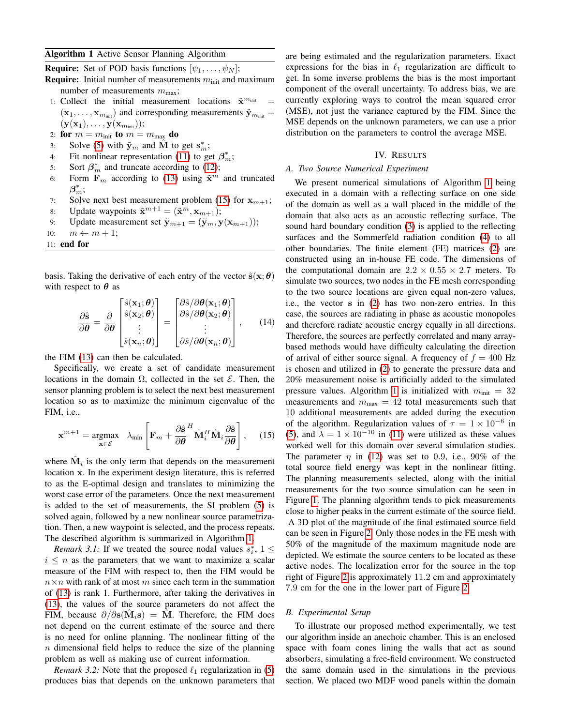# <span id="page-3-2"></span>Algorithm 1 Active Sensor Planning Algorithm

**Require:** Set of POD basis functions  $[\psi_1, \dots, \psi_N]$ ;

- **Require:** Initial number of measurements  $m<sub>init</sub>$  and maximum number of measurements  $m_{\text{max}}$ ;
- 1: Collect the initial measurement locations  $\tilde{\mathbf{x}}^{m_{\text{init}}}$  $(\mathbf{x}_1, \dots, \mathbf{x}_{m_{\text{init}}})$  and corresponding measurements  $\tilde{\mathbf{y}}_{m_{\text{init}}} =$  $(\mathbf{y}(\mathbf{x}_1), \ldots, \mathbf{y}(\mathbf{x}_{m_{init}}));$
- 2: for  $m = m_{\text{init}}$  to  $m = m_{\text{max}}$  do
- 3: Solve [\(5\)](#page-1-3) with  $\tilde{\mathbf{y}}_m$  and  $\tilde{\mathbf{M}}$  to get  $\mathbf{s}_m^*$ ;
- 4: Fit nonlinear representation [\(11\)](#page-2-3) to get  $\beta_m^*$ ;
- 5: Sort  $\beta_m^*$  and truncate according to [\(12\)](#page-2-7);
- 6: Form  $\mathbf{F}_m$  according to [\(13\)](#page-2-8) using  $\tilde{\mathbf{x}}^m$  and truncated  $\boldsymbol{\beta}_m^*$ ;
- 7: Solve next best measurement problem [\(15\)](#page-3-1) for  $x_{m+1}$ ;
- 8: Update waypoints  $\tilde{\mathbf{x}}^{m+1} = (\tilde{\mathbf{x}}^m, \mathbf{x}_{m+1});$
- 9: Update measurement set  $\tilde{\mathbf{y}}_{m+1} = (\tilde{\mathbf{y}}_m, \mathbf{y}(\mathbf{x}_{m+1}))$ ;
- 10:  $m \leftarrow m + 1$ ;
- 11: end for

basis. Taking the derivative of each entry of the vector  $\hat{\mathbf{s}}(\mathbf{x}; \boldsymbol{\theta})$ with respect to  $\theta$  as

$$
\frac{\partial \hat{\mathbf{s}}}{\partial \boldsymbol{\theta}} = \frac{\partial}{\partial \boldsymbol{\theta}} \begin{bmatrix} \hat{s}(\mathbf{x}_1; \boldsymbol{\theta}) \\ \hat{s}(\mathbf{x}_2; \boldsymbol{\theta}) \\ \vdots \\ \hat{s}(\mathbf{x}_n; \boldsymbol{\theta}) \end{bmatrix} = \begin{bmatrix} \frac{\partial \hat{s}}{\partial \boldsymbol{\theta}}(\mathbf{x}_1; \boldsymbol{\theta}) \\ \frac{\partial \hat{s}}{\partial \boldsymbol{\theta}}(\mathbf{x}_2; \boldsymbol{\theta}) \\ \vdots \\ \frac{\partial \hat{s}}{\partial \boldsymbol{\theta}}(\mathbf{x}_n; \boldsymbol{\theta}) \end{bmatrix}, \qquad (14)
$$

the FIM [\(13\)](#page-2-8) can then be calculated.

Specifically, we create a set of candidate measurement locations in the domain  $\Omega$ , collected in the set  $\mathcal{E}$ . Then, the sensor planning problem is to select the next best measurement location so as to maximize the minimum eigenvalue of the FIM, i.e.,

$$
\mathbf{x}^{m+1} = \underset{\mathbf{x} \in \mathcal{E}}{\operatorname{argmax}} \quad \lambda_{\min} \left[ \mathbf{F}_m + \frac{\partial \hat{\mathbf{s}}}{\partial \boldsymbol{\theta}}^H \hat{\mathbf{M}}_i^H \hat{\mathbf{M}}_i \frac{\partial \hat{\mathbf{s}}}{\partial \boldsymbol{\theta}} \right], \quad (15)
$$

where  $\hat{\mathbf{M}}_i$  is the only term that depends on the measurement location x. In the experiment design literature, this is referred to as the E-optimal design and translates to minimizing the worst case error of the parameters. Once the next measurement is added to the set of measurements, the SI problem [\(5\)](#page-1-3) is solved again, followed by a new nonlinear source parametrization. Then, a new waypoint is selected, and the process repeats. The described algorithm is summarized in Algorithm [1.](#page-3-2)

*Remark 3.1:* If we treated the source nodal values  $s_i^*$ ,  $1 \leq$  $i \leq n$  as the parameters that we want to maximize a scalar measure of the FIM with respect to, then the FIM would be  $n \times n$  with rank of at most m since each term in the summation of [\(13\)](#page-2-8) is rank 1. Furthermore, after taking the derivatives in [\(13\)](#page-2-8), the values of the source parameters do not affect the FIM, because  $\partial/\partial s(\hat{M}_i s) = \hat{M}$ . Therefore, the FIM does not depend on the current estimate of the source and there is no need for online planning. The nonlinear fitting of the  $n$  dimensional field helps to reduce the size of the planning problem as well as making use of current information.

*Remark 3.2:* Note that the proposed  $\ell_1$  regularization in [\(5\)](#page-1-3) produces bias that depends on the unknown parameters that

are being estimated and the regularization parameters. Exact expressions for the bias in  $\ell_1$  regularization are difficult to get. In some inverse problems the bias is the most important component of the overall uncertainty. To address bias, we are currently exploring ways to control the mean squared error (MSE), not just the variance captured by the FIM. Since the MSE depends on the unknown parameters, we can use a prior distribution on the parameters to control the average MSE.

## IV. RESULTS

#### <span id="page-3-0"></span>*A. Two Source Numerical Experiment*

We present numerical simulations of Algorithm [1](#page-3-2) being executed in a domain with a reflecting surface on one side of the domain as well as a wall placed in the middle of the domain that also acts as an acoustic reflecting surface. The sound hard boundary condition [\(3\)](#page-1-4) is applied to the reflecting surfaces and the Sommerfeld radiation condition [\(4\)](#page-1-5) to all other boundaries. The finite element (FE) matrices [\(2\)](#page-1-2) are constructed using an in-house FE code. The dimensions of the computational domain are  $2.2 \times 0.55 \times 2.7$  meters. To simulate two sources, two nodes in the FE mesh corresponding to the two source locations are given equal non-zero values, i.e., the vector s in [\(2\)](#page-1-2) has two non-zero entries. In this case, the sources are radiating in phase as acoustic monopoles and therefore radiate acoustic energy equally in all directions. Therefore, the sources are perfectly correlated and many arraybased methods would have difficulty calculating the direction of arrival of either source signal. A frequency of  $f = 400$  Hz is chosen and utilized in [\(2\)](#page-1-2) to generate the pressure data and 20% measurement noise is artificially added to the simulated pressure values. Algorithm [1](#page-3-2) is initialized with  $m<sub>init</sub> = 32$ measurements and  $m_{\text{max}} = 42$  total measurements such that 10 additional measurements are added during the execution of the algorithm. Regularization values of  $\tau = 1 \times 10^{-6}$  in [\(5\)](#page-1-3), and  $\lambda = 1 \times 10^{-10}$  in [\(11\)](#page-2-3) were utilized as these values worked well for this domain over several simulation studies. The parameter  $\eta$  in [\(12\)](#page-2-7) was set to 0.9, i.e., 90% of the total source field energy was kept in the nonlinear fitting. The planning measurements selected, along with the initial measurements for the two source simulation can be seen in Figure [1.](#page-4-0) The planning algorithm tends to pick measurements close to higher peaks in the current estimate of the source field. A 3D plot of the magnitude of the final estimated source field can be seen in Figure [2.](#page-4-1) Only those nodes in the FE mesh with 50% of the magnitude of the maximum magnitude node are depicted. We estimate the source centers to be located as these active nodes. The localization error for the source in the top right of Figure [2](#page-4-1) is approximately 11.2 cm and approximately 7.9 cm for the one in the lower part of Figure [2.](#page-4-1)

## <span id="page-3-1"></span>*B. Experimental Setup*

To illustrate our proposed method experimentally, we test our algorithm inside an anechoic chamber. This is an enclosed space with foam cones lining the walls that act as sound absorbers, simulating a free-field environment. We constructed the same domain used in the simulations in the previous section. We placed two MDF wood panels within the domain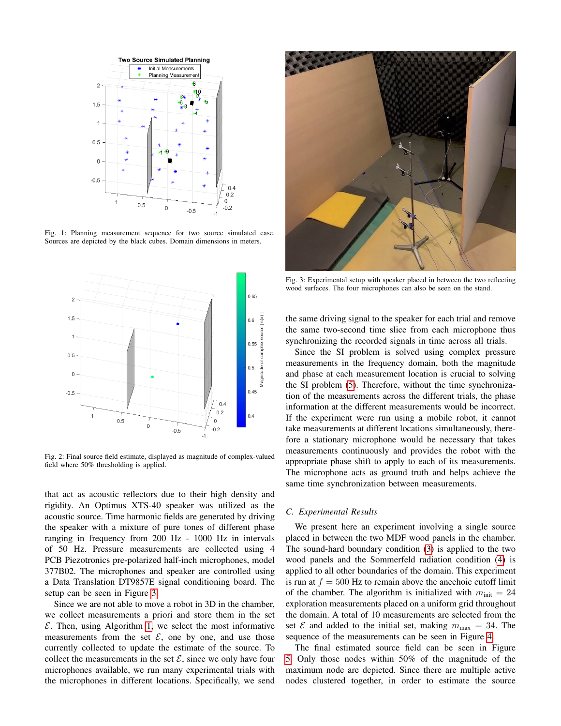<span id="page-4-0"></span>

Fig. 1: Planning measurement sequence for two source simulated case. Sources are depicted by the black cubes. Domain dimensions in meters.

<span id="page-4-1"></span>

Fig. 2: Final source field estimate, displayed as magnitude of complex-valued field where 50% thresholding is applied.

that act as acoustic reflectors due to their high density and rigidity. An Optimus XTS-40 speaker was utilized as the acoustic source. Time harmonic fields are generated by driving the speaker with a mixture of pure tones of different phase ranging in frequency from 200 Hz - 1000 Hz in intervals of 50 Hz. Pressure measurements are collected using 4 PCB Piezotronics pre-polarized half-inch microphones, model 377B02. The microphones and speaker are controlled using a Data Translation DT9857E signal conditioning board. The setup can be seen in Figure [3.](#page-4-2)

Since we are not able to move a robot in 3D in the chamber, we collect measurements a priori and store them in the set  $\mathcal E$ . Then, using Algorithm [1,](#page-3-2) we select the most informative measurements from the set  $\mathcal{E}$ , one by one, and use those currently collected to update the estimate of the source. To collect the measurements in the set  $\mathcal{E}$ , since we only have four microphones available, we run many experimental trials with the microphones in different locations. Specifically, we send

<span id="page-4-2"></span>

Fig. 3: Experimental setup with speaker placed in between the two reflecting wood surfaces. The four microphones can also be seen on the stand.

the same driving signal to the speaker for each trial and remove the same two-second time slice from each microphone thus synchronizing the recorded signals in time across all trials.

Since the SI problem is solved using complex pressure measurements in the frequency domain, both the magnitude and phase at each measurement location is crucial to solving the SI problem [\(5\)](#page-1-3). Therefore, without the time synchronization of the measurements across the different trials, the phase information at the different measurements would be incorrect. If the experiment were run using a mobile robot, it cannot take measurements at different locations simultaneously, therefore a stationary microphone would be necessary that takes measurements continuously and provides the robot with the appropriate phase shift to apply to each of its measurements. The microphone acts as ground truth and helps achieve the same time synchronization between measurements.

#### *C. Experimental Results*

We present here an experiment involving a single source placed in between the two MDF wood panels in the chamber. The sound-hard boundary condition [\(3\)](#page-1-4) is applied to the two wood panels and the Sommerfeld radiation condition [\(4\)](#page-1-5) is applied to all other boundaries of the domain. This experiment is run at  $f = 500$  Hz to remain above the anechoic cutoff limit of the chamber. The algorithm is initialized with  $m<sub>init</sub> = 24$ exploration measurements placed on a uniform grid throughout the domain. A total of 10 measurements are selected from the set  $\mathcal E$  and added to the initial set, making  $m_{\text{max}} = 34$ . The sequence of the measurements can be seen in Figure [4.](#page-5-20)

The final estimated source field can be seen in Figure [5.](#page-5-21) Only those nodes within 50% of the magnitude of the maximum node are depicted. Since there are multiple active nodes clustered together, in order to estimate the source